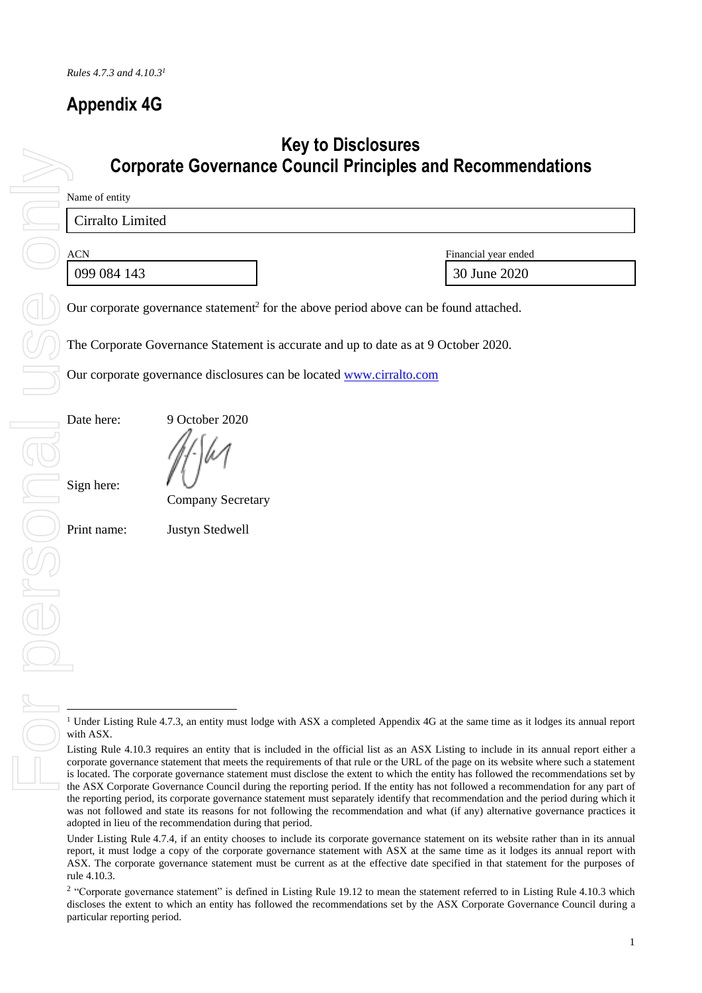# **Appendix 4G**

# **Key to Disclosures Corporate Governance Council Principles and Recommendations**

Name of entity

Cirralto Limited

ACN Financial year ended 099 084 143 30 June 2020

Our corporate governance statement<sup>2</sup> for the above period above can be found attached.

The Corporate Governance Statement is accurate and up to date as at 9 October 2020.

Our corporate governance disclosures can be locate[d www.cirralto.com](http://www.cirralto.com/)

Date here: 9 October 2020

Sign here:

Company Secretary

Print name: Justyn Stedwell

<sup>&</sup>lt;sup>1</sup> Under Listing Rule 4.7.3, an entity must lodge with ASX a completed Appendix 4G at the same time as it lodges its annual report with ASX.

Listing Rule 4.10.3 requires an entity that is included in the official list as an ASX Listing to include in its annual report either a corporate governance statement that meets the requirements of that rule or the URL of the page on its website where such a statement is located. The corporate governance statement must disclose the extent to which the entity has followed the recommendations set by the ASX Corporate Governance Council during the reporting period. If the entity has not followed a recommendation for any part of the reporting period, its corporate governance statement must separately identify that recommendation and the period during which it was not followed and state its reasons for not following the recommendation and what (if any) alternative governance practices it adopted in lieu of the recommendation during that period.

Under Listing Rule 4.7.4, if an entity chooses to include its corporate governance statement on its website rather than in its annual report, it must lodge a copy of the corporate governance statement with ASX at the same time as it lodges its annual report with ASX. The corporate governance statement must be current as at the effective date specified in that statement for the purposes of rule 4.10.3.

<sup>&</sup>lt;sup>2</sup> "Corporate governance statement" is defined in Listing Rule 19.12 to mean the statement referred to in Listing Rule 4.10.3 which discloses the extent to which an entity has followed the recommendations set by the ASX Corporate Governance Council during a particular reporting period.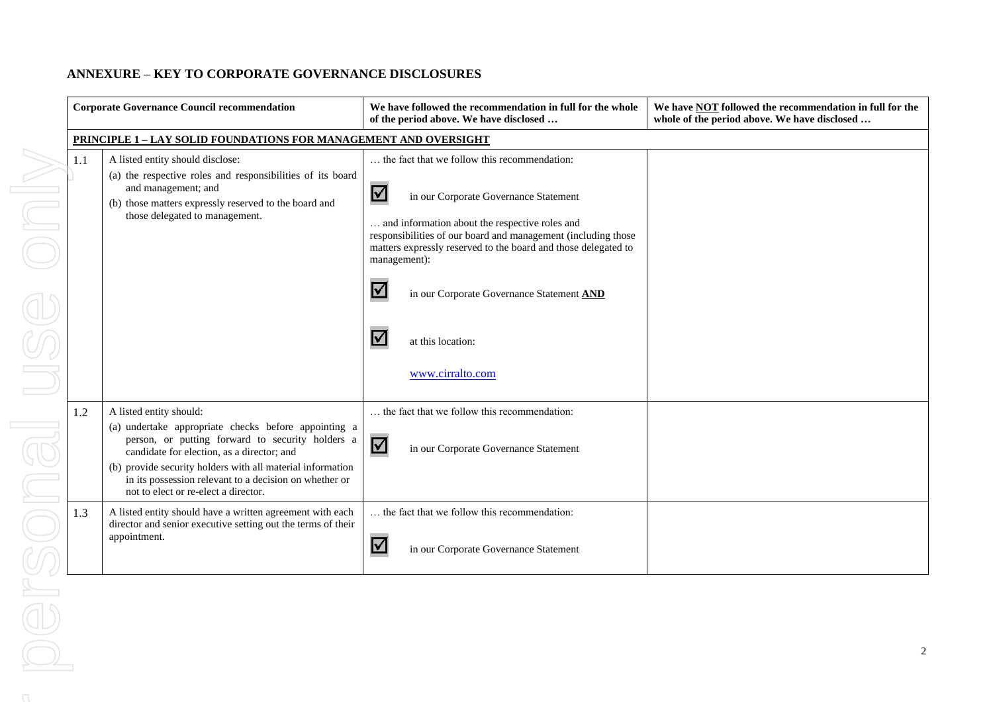# **ANNEXURE – KEY TO CORPORATE GOVERNANCE DISCLOSURES**

|     | <b>Corporate Governance Council recommendation</b>                                                                                                           | We have followed the recommendation in full for the whole<br>of the period above. We have disclosed                                                                              | We have <b>NOT</b> followed the recommendation in full for the<br>whole of the period above. We have disclosed |  |  |  |  |
|-----|--------------------------------------------------------------------------------------------------------------------------------------------------------------|----------------------------------------------------------------------------------------------------------------------------------------------------------------------------------|----------------------------------------------------------------------------------------------------------------|--|--|--|--|
|     | <b>PRINCIPLE 1 - LAY SOLID FOUNDATIONS FOR MANAGEMENT AND OVERSIGHT</b>                                                                                      |                                                                                                                                                                                  |                                                                                                                |  |  |  |  |
| 1.1 | A listed entity should disclose:<br>(a) the respective roles and responsibilities of its board<br>and management; and                                        | the fact that we follow this recommendation:                                                                                                                                     |                                                                                                                |  |  |  |  |
|     | (b) those matters expressly reserved to the board and<br>those delegated to management.                                                                      | $\blacktriangledown$<br>in our Corporate Governance Statement<br>and information about the respective roles and<br>responsibilities of our board and management (including those |                                                                                                                |  |  |  |  |
|     |                                                                                                                                                              | matters expressly reserved to the board and those delegated to<br>management):                                                                                                   |                                                                                                                |  |  |  |  |
|     |                                                                                                                                                              | V<br>in our Corporate Governance Statement AND                                                                                                                                   |                                                                                                                |  |  |  |  |
|     |                                                                                                                                                              | at this location:<br>www.cirralto.com                                                                                                                                            |                                                                                                                |  |  |  |  |
|     |                                                                                                                                                              |                                                                                                                                                                                  |                                                                                                                |  |  |  |  |
| 1.2 | A listed entity should:<br>(a) undertake appropriate checks before appointing a                                                                              | the fact that we follow this recommendation:                                                                                                                                     |                                                                                                                |  |  |  |  |
|     | person, or putting forward to security holders a<br>candidate for election, as a director; and                                                               | $\blacktriangledown$<br>in our Corporate Governance Statement                                                                                                                    |                                                                                                                |  |  |  |  |
|     | (b) provide security holders with all material information<br>in its possession relevant to a decision on whether or<br>not to elect or re-elect a director. |                                                                                                                                                                                  |                                                                                                                |  |  |  |  |
| 1.3 | A listed entity should have a written agreement with each<br>director and senior executive setting out the terms of their<br>appointment.                    | the fact that we follow this recommendation:                                                                                                                                     |                                                                                                                |  |  |  |  |
|     |                                                                                                                                                              | $\blacktriangledown$<br>in our Corporate Governance Statement                                                                                                                    |                                                                                                                |  |  |  |  |

 $\cap$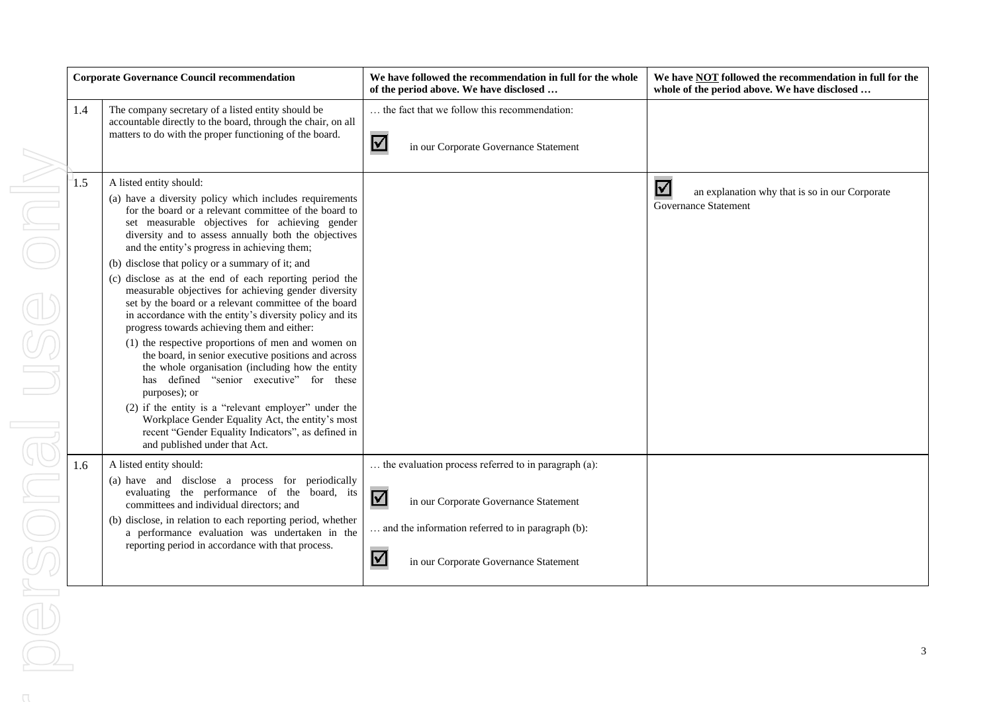| <b>Corporate Governance Council recommendation</b>                                                                                                                                   |                                                                                                                                                                                                                                                                                                                                                                                                                                                                                                                                                                                                                                                                                                                                                                                                                                                                                                                                                                                                                                                                                   | We have followed the recommendation in full for the whole<br>of the period above. We have disclosed                                                                                                                             | We have <b>NOT</b> followed the recommendation in full for the<br>whole of the period above. We have disclosed |
|--------------------------------------------------------------------------------------------------------------------------------------------------------------------------------------|-----------------------------------------------------------------------------------------------------------------------------------------------------------------------------------------------------------------------------------------------------------------------------------------------------------------------------------------------------------------------------------------------------------------------------------------------------------------------------------------------------------------------------------------------------------------------------------------------------------------------------------------------------------------------------------------------------------------------------------------------------------------------------------------------------------------------------------------------------------------------------------------------------------------------------------------------------------------------------------------------------------------------------------------------------------------------------------|---------------------------------------------------------------------------------------------------------------------------------------------------------------------------------------------------------------------------------|----------------------------------------------------------------------------------------------------------------|
| The company secretary of a listed entity should be<br>1.4<br>accountable directly to the board, through the chair, on all<br>matters to do with the proper functioning of the board. |                                                                                                                                                                                                                                                                                                                                                                                                                                                                                                                                                                                                                                                                                                                                                                                                                                                                                                                                                                                                                                                                                   | the fact that we follow this recommendation:<br>$\blacktriangledown$<br>in our Corporate Governance Statement                                                                                                                   |                                                                                                                |
| 1.5                                                                                                                                                                                  | A listed entity should:<br>(a) have a diversity policy which includes requirements<br>for the board or a relevant committee of the board to<br>set measurable objectives for achieving gender<br>diversity and to assess annually both the objectives<br>and the entity's progress in achieving them;<br>(b) disclose that policy or a summary of it; and<br>(c) disclose as at the end of each reporting period the<br>measurable objectives for achieving gender diversity<br>set by the board or a relevant committee of the board<br>in accordance with the entity's diversity policy and its<br>progress towards achieving them and either:<br>(1) the respective proportions of men and women on<br>the board, in senior executive positions and across<br>the whole organisation (including how the entity<br>has defined "senior executive" for these<br>purposes); or<br>(2) if the entity is a "relevant employer" under the<br>Workplace Gender Equality Act, the entity's most<br>recent "Gender Equality Indicators", as defined in<br>and published under that Act. |                                                                                                                                                                                                                                 | $\blacktriangledown$<br>an explanation why that is so in our Corporate<br><b>Governance Statement</b>          |
| 1.6                                                                                                                                                                                  | A listed entity should:<br>(a) have and disclose a process for periodically<br>evaluating the performance of the board, its<br>committees and individual directors; and<br>(b) disclose, in relation to each reporting period, whether<br>a performance evaluation was undertaken in the<br>reporting period in accordance with that process.                                                                                                                                                                                                                                                                                                                                                                                                                                                                                                                                                                                                                                                                                                                                     | the evaluation process referred to in paragraph (a):<br>$\Delta$<br>in our Corporate Governance Statement<br>and the information referred to in paragraph (b):<br>$\blacktriangledown$<br>in our Corporate Governance Statement |                                                                                                                |

 $\cap$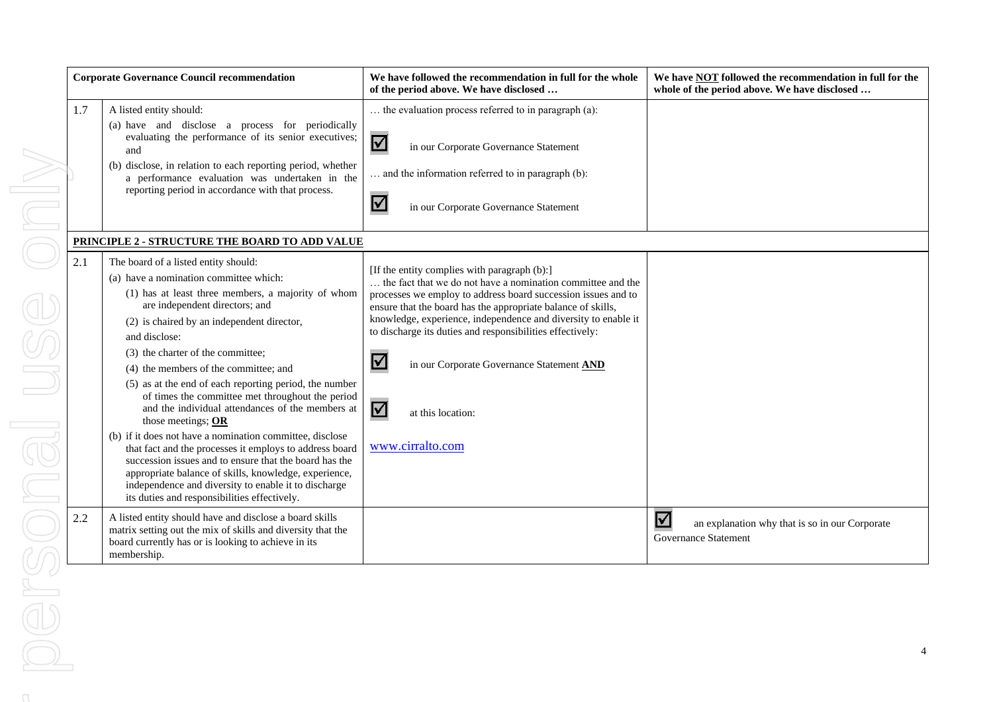| <b>Corporate Governance Council recommendation</b> |                                                                                                                                                                                                                                                                                                                                                                                                                                                                                                                                                                                                                                                                                                                                                                                                                                                                 | We have followed the recommendation in full for the whole<br>of the period above. We have disclosed                                                                                                                                                                                                                                                                                                                                                                                                               | We have <b>NOT</b> followed the recommendation in full for the<br>whole of the period above. We have disclosed |
|----------------------------------------------------|-----------------------------------------------------------------------------------------------------------------------------------------------------------------------------------------------------------------------------------------------------------------------------------------------------------------------------------------------------------------------------------------------------------------------------------------------------------------------------------------------------------------------------------------------------------------------------------------------------------------------------------------------------------------------------------------------------------------------------------------------------------------------------------------------------------------------------------------------------------------|-------------------------------------------------------------------------------------------------------------------------------------------------------------------------------------------------------------------------------------------------------------------------------------------------------------------------------------------------------------------------------------------------------------------------------------------------------------------------------------------------------------------|----------------------------------------------------------------------------------------------------------------|
| 1.7                                                | A listed entity should:<br>(a) have and disclose a process for periodically<br>evaluating the performance of its senior executives;<br>and<br>(b) disclose, in relation to each reporting period, whether<br>a performance evaluation was undertaken in the<br>reporting period in accordance with that process.                                                                                                                                                                                                                                                                                                                                                                                                                                                                                                                                                | the evaluation process referred to in paragraph (a):<br>☑<br>in our Corporate Governance Statement<br>and the information referred to in paragraph (b):<br>$\blacktriangledown$<br>in our Corporate Governance Statement                                                                                                                                                                                                                                                                                          |                                                                                                                |
|                                                    | PRINCIPLE 2 - STRUCTURE THE BOARD TO ADD VALUE                                                                                                                                                                                                                                                                                                                                                                                                                                                                                                                                                                                                                                                                                                                                                                                                                  |                                                                                                                                                                                                                                                                                                                                                                                                                                                                                                                   |                                                                                                                |
| 2.1                                                | The board of a listed entity should:<br>(a) have a nomination committee which:<br>(1) has at least three members, a majority of whom<br>are independent directors; and<br>(2) is chaired by an independent director,<br>and disclose:<br>(3) the charter of the committee;<br>(4) the members of the committee; and<br>(5) as at the end of each reporting period, the number<br>of times the committee met throughout the period<br>and the individual attendances of the members at<br>those meetings; $OR$<br>(b) if it does not have a nomination committee, disclose<br>that fact and the processes it employs to address board<br>succession issues and to ensure that the board has the<br>appropriate balance of skills, knowledge, experience,<br>independence and diversity to enable it to discharge<br>its duties and responsibilities effectively. | [If the entity complies with paragraph (b):]<br>the fact that we do not have a nomination committee and the<br>processes we employ to address board succession issues and to<br>ensure that the board has the appropriate balance of skills,<br>knowledge, experience, independence and diversity to enable it<br>to discharge its duties and responsibilities effectively:<br>$\blacktriangledown$<br>in our Corporate Governance Statement AND<br>$\blacktriangledown$<br>at this location:<br>www.cirralto.com |                                                                                                                |
| 2.2                                                | A listed entity should have and disclose a board skills<br>matrix setting out the mix of skills and diversity that the<br>board currently has or is looking to achieve in its<br>membership.                                                                                                                                                                                                                                                                                                                                                                                                                                                                                                                                                                                                                                                                    |                                                                                                                                                                                                                                                                                                                                                                                                                                                                                                                   | $\blacktriangledown$<br>an explanation why that is so in our Corporate<br>Governance Statement                 |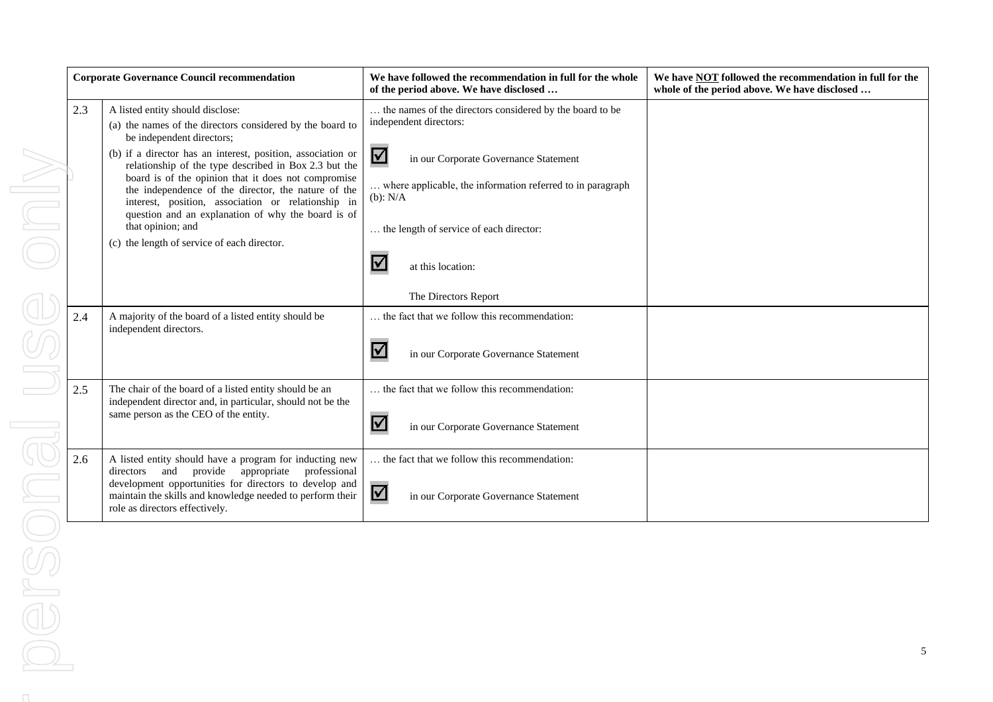|     | <b>Corporate Governance Council recommendation</b>                                                                                                                                                                                                                                                                                                                                                                                                                                                                                               | We have followed the recommendation in full for the whole<br>of the period above. We have disclosed                                                                                                                                                                                                | We have NOT followed the recommendation in full for the<br>whole of the period above. We have disclosed |
|-----|--------------------------------------------------------------------------------------------------------------------------------------------------------------------------------------------------------------------------------------------------------------------------------------------------------------------------------------------------------------------------------------------------------------------------------------------------------------------------------------------------------------------------------------------------|----------------------------------------------------------------------------------------------------------------------------------------------------------------------------------------------------------------------------------------------------------------------------------------------------|---------------------------------------------------------------------------------------------------------|
| 2.3 | A listed entity should disclose:<br>(a) the names of the directors considered by the board to<br>be independent directors;<br>(b) if a director has an interest, position, association or<br>relationship of the type described in Box 2.3 but the<br>board is of the opinion that it does not compromise<br>the independence of the director, the nature of the<br>interest, position, association or relationship in<br>question and an explanation of why the board is of<br>that opinion; and<br>(c) the length of service of each director. | the names of the directors considered by the board to be<br>independent directors:<br>$\blacktriangledown$<br>in our Corporate Governance Statement<br>where applicable, the information referred to in paragraph<br>$(b)$ : $N/A$<br>the length of service of each director:<br>at this location: |                                                                                                         |
|     |                                                                                                                                                                                                                                                                                                                                                                                                                                                                                                                                                  | The Directors Report                                                                                                                                                                                                                                                                               |                                                                                                         |
| 2.4 | A majority of the board of a listed entity should be<br>independent directors.                                                                                                                                                                                                                                                                                                                                                                                                                                                                   | the fact that we follow this recommendation:<br>I√<br>in our Corporate Governance Statement                                                                                                                                                                                                        |                                                                                                         |
| 2.5 | The chair of the board of a listed entity should be an                                                                                                                                                                                                                                                                                                                                                                                                                                                                                           | the fact that we follow this recommendation:                                                                                                                                                                                                                                                       |                                                                                                         |
|     | independent director and, in particular, should not be the<br>same person as the CEO of the entity.                                                                                                                                                                                                                                                                                                                                                                                                                                              | V<br>in our Corporate Governance Statement                                                                                                                                                                                                                                                         |                                                                                                         |
| 2.6 | A listed entity should have a program for inducting new<br>and<br>provide appropriate<br>directors<br>professional<br>development opportunities for directors to develop and<br>maintain the skills and knowledge needed to perform their<br>role as directors effectively.                                                                                                                                                                                                                                                                      | the fact that we follow this recommendation:<br>$\blacktriangledown$<br>in our Corporate Governance Statement                                                                                                                                                                                      |                                                                                                         |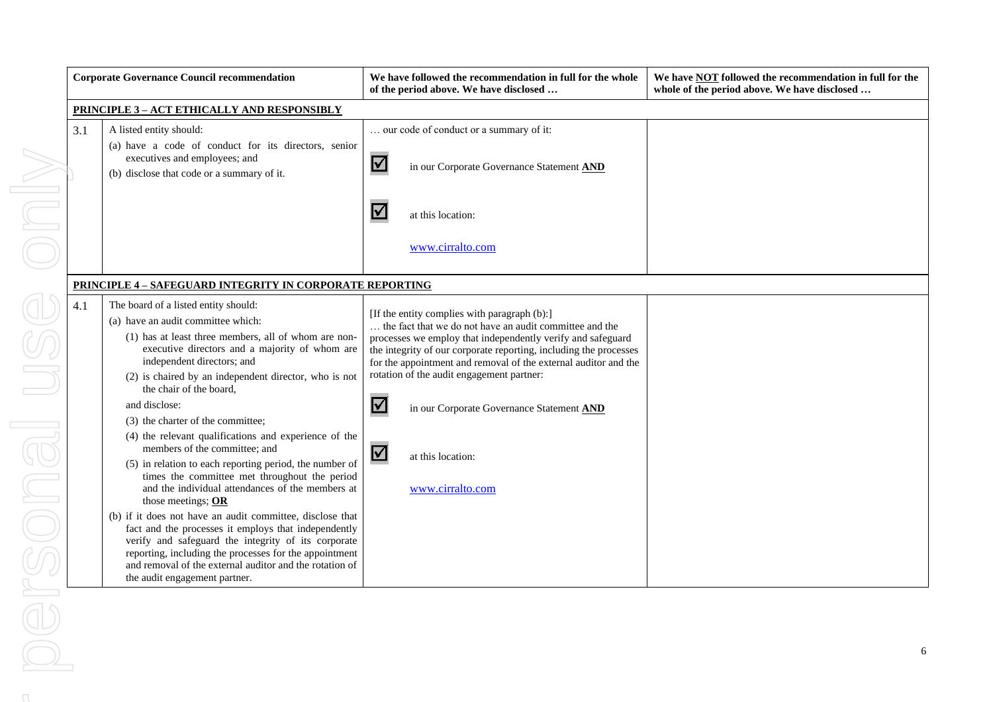| <b>Corporate Governance Council recommendation</b>                                                                                                                    |                                                                                                                                                                                                                                                                                                                                                                                                                                                                                                                                                                                                                                                                                                                                                                                                                                                                                                                                                                                  | We have followed the recommendation in full for the whole<br>of the period above. We have disclosed                                                                                                                                                                                                                                                                                                                                                                                              | We have <b>NOT</b> followed the recommendation in full for the<br>whole of the period above. We have disclosed |
|-----------------------------------------------------------------------------------------------------------------------------------------------------------------------|----------------------------------------------------------------------------------------------------------------------------------------------------------------------------------------------------------------------------------------------------------------------------------------------------------------------------------------------------------------------------------------------------------------------------------------------------------------------------------------------------------------------------------------------------------------------------------------------------------------------------------------------------------------------------------------------------------------------------------------------------------------------------------------------------------------------------------------------------------------------------------------------------------------------------------------------------------------------------------|--------------------------------------------------------------------------------------------------------------------------------------------------------------------------------------------------------------------------------------------------------------------------------------------------------------------------------------------------------------------------------------------------------------------------------------------------------------------------------------------------|----------------------------------------------------------------------------------------------------------------|
| <b>PRINCIPLE 3-ACT ETHICALLY AND RESPONSIBLY</b>                                                                                                                      |                                                                                                                                                                                                                                                                                                                                                                                                                                                                                                                                                                                                                                                                                                                                                                                                                                                                                                                                                                                  |                                                                                                                                                                                                                                                                                                                                                                                                                                                                                                  |                                                                                                                |
| 3.1<br>A listed entity should:<br>(a) have a code of conduct for its directors, senior<br>executives and employees; and<br>(b) disclose that code or a summary of it. |                                                                                                                                                                                                                                                                                                                                                                                                                                                                                                                                                                                                                                                                                                                                                                                                                                                                                                                                                                                  | our code of conduct or a summary of it:<br>$\blacktriangledown$<br>in our Corporate Governance Statement AND                                                                                                                                                                                                                                                                                                                                                                                     |                                                                                                                |
|                                                                                                                                                                       |                                                                                                                                                                                                                                                                                                                                                                                                                                                                                                                                                                                                                                                                                                                                                                                                                                                                                                                                                                                  | at this location:<br>www.cirralto.com                                                                                                                                                                                                                                                                                                                                                                                                                                                            |                                                                                                                |
|                                                                                                                                                                       | <b>PRINCIPLE 4 - SAFEGUARD INTEGRITY IN CORPORATE REPORTING</b>                                                                                                                                                                                                                                                                                                                                                                                                                                                                                                                                                                                                                                                                                                                                                                                                                                                                                                                  |                                                                                                                                                                                                                                                                                                                                                                                                                                                                                                  |                                                                                                                |
| 4.1                                                                                                                                                                   | The board of a listed entity should:<br>(a) have an audit committee which:<br>(1) has at least three members, all of whom are non-<br>executive directors and a majority of whom are<br>independent directors; and<br>(2) is chaired by an independent director, who is not<br>the chair of the board,<br>and disclose:<br>(3) the charter of the committee;<br>(4) the relevant qualifications and experience of the<br>members of the committee; and<br>(5) in relation to each reporting period, the number of<br>times the committee met throughout the period<br>and the individual attendances of the members at<br>those meetings; $OR$<br>(b) if it does not have an audit committee, disclose that<br>fact and the processes it employs that independently<br>verify and safeguard the integrity of its corporate<br>reporting, including the processes for the appointment<br>and removal of the external auditor and the rotation of<br>the audit engagement partner. | [If the entity complies with paragraph (b):]<br>the fact that we do not have an audit committee and the<br>processes we employ that independently verify and safeguard<br>the integrity of our corporate reporting, including the processes<br>for the appointment and removal of the external auditor and the<br>rotation of the audit engagement partner:<br>$\blacktriangledown$<br>in our Corporate Governance Statement AND<br>$\boldsymbol{\vee}$<br>at this location:<br>www.cirralto.com |                                                                                                                |

 $\alpha$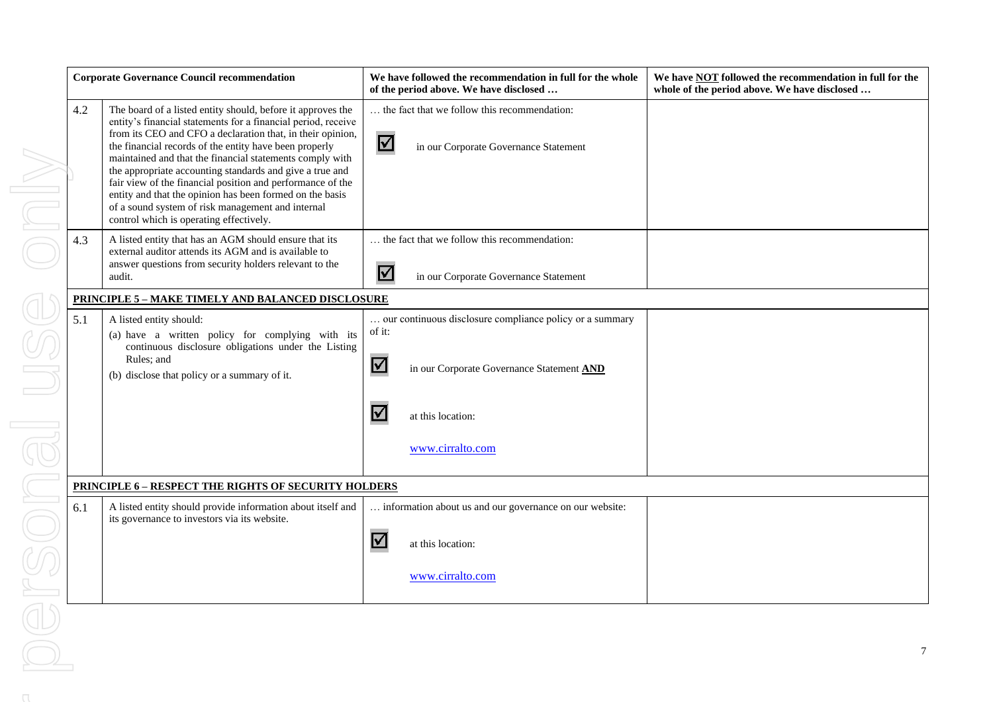|                | <b>Corporate Governance Council recommendation</b> |                                                                                                                                                                                                                                                                                                                                                                                                                                                                                                                                                                                                        |                      | We have followed the recommendation in full for the whole<br>of the period above. We have disclosed | We have <b>NOT</b> followed the recommendation in full for the<br>whole of the period above. We have disclosed |
|----------------|----------------------------------------------------|--------------------------------------------------------------------------------------------------------------------------------------------------------------------------------------------------------------------------------------------------------------------------------------------------------------------------------------------------------------------------------------------------------------------------------------------------------------------------------------------------------------------------------------------------------------------------------------------------------|----------------------|-----------------------------------------------------------------------------------------------------|----------------------------------------------------------------------------------------------------------------|
|                | 4.2                                                | The board of a listed entity should, before it approves the<br>entity's financial statements for a financial period, receive<br>from its CEO and CFO a declaration that, in their opinion,<br>the financial records of the entity have been properly<br>maintained and that the financial statements comply with<br>the appropriate accounting standards and give a true and<br>fair view of the financial position and performance of the<br>entity and that the opinion has been formed on the basis<br>of a sound system of risk management and internal<br>control which is operating effectively. | $\boxtimes$          | the fact that we follow this recommendation:<br>in our Corporate Governance Statement               |                                                                                                                |
|                | 4.3                                                | A listed entity that has an AGM should ensure that its<br>external auditor attends its AGM and is available to<br>answer questions from security holders relevant to the<br>audit.                                                                                                                                                                                                                                                                                                                                                                                                                     | $\blacktriangledown$ | the fact that we follow this recommendation:<br>in our Corporate Governance Statement               |                                                                                                                |
|                |                                                    | <b>PRINCIPLE 5 - MAKE TIMELY AND BALANCED DISCLOSURE</b>                                                                                                                                                                                                                                                                                                                                                                                                                                                                                                                                               |                      |                                                                                                     |                                                                                                                |
|                | 5.1                                                | A listed entity should:<br>(a) have a written policy for complying with its<br>continuous disclosure obligations under the Listing                                                                                                                                                                                                                                                                                                                                                                                                                                                                     | of it:               | our continuous disclosure compliance policy or a summary                                            |                                                                                                                |
|                |                                                    | Rules; and<br>(b) disclose that policy or a summary of it.                                                                                                                                                                                                                                                                                                                                                                                                                                                                                                                                             | $\blacktriangledown$ | in our Corporate Governance Statement AND                                                           |                                                                                                                |
|                |                                                    |                                                                                                                                                                                                                                                                                                                                                                                                                                                                                                                                                                                                        | $\boldsymbol{\vee}$  | at this location:                                                                                   |                                                                                                                |
|                |                                                    |                                                                                                                                                                                                                                                                                                                                                                                                                                                                                                                                                                                                        |                      | www.cirralto.com                                                                                    |                                                                                                                |
|                |                                                    | <b>PRINCIPLE 6 - RESPECT THE RIGHTS OF SECURITY HOLDERS</b>                                                                                                                                                                                                                                                                                                                                                                                                                                                                                                                                            |                      |                                                                                                     |                                                                                                                |
|                | 6.1                                                | A listed entity should provide information about itself and<br>its governance to investors via its website.                                                                                                                                                                                                                                                                                                                                                                                                                                                                                            |                      | information about us and our governance on our website:                                             |                                                                                                                |
|                |                                                    |                                                                                                                                                                                                                                                                                                                                                                                                                                                                                                                                                                                                        | $\blacktriangledown$ | at this location:                                                                                   |                                                                                                                |
|                |                                                    |                                                                                                                                                                                                                                                                                                                                                                                                                                                                                                                                                                                                        |                      | www.cirralto.com                                                                                    |                                                                                                                |
| $\mathbb{Q}^s$ |                                                    |                                                                                                                                                                                                                                                                                                                                                                                                                                                                                                                                                                                                        |                      |                                                                                                     |                                                                                                                |
|                |                                                    |                                                                                                                                                                                                                                                                                                                                                                                                                                                                                                                                                                                                        |                      |                                                                                                     |                                                                                                                |
|                |                                                    |                                                                                                                                                                                                                                                                                                                                                                                                                                                                                                                                                                                                        |                      |                                                                                                     |                                                                                                                |
|                |                                                    |                                                                                                                                                                                                                                                                                                                                                                                                                                                                                                                                                                                                        |                      |                                                                                                     |                                                                                                                |
|                |                                                    |                                                                                                                                                                                                                                                                                                                                                                                                                                                                                                                                                                                                        |                      |                                                                                                     |                                                                                                                |
|                |                                                    |                                                                                                                                                                                                                                                                                                                                                                                                                                                                                                                                                                                                        |                      |                                                                                                     |                                                                                                                |
|                |                                                    |                                                                                                                                                                                                                                                                                                                                                                                                                                                                                                                                                                                                        |                      |                                                                                                     |                                                                                                                |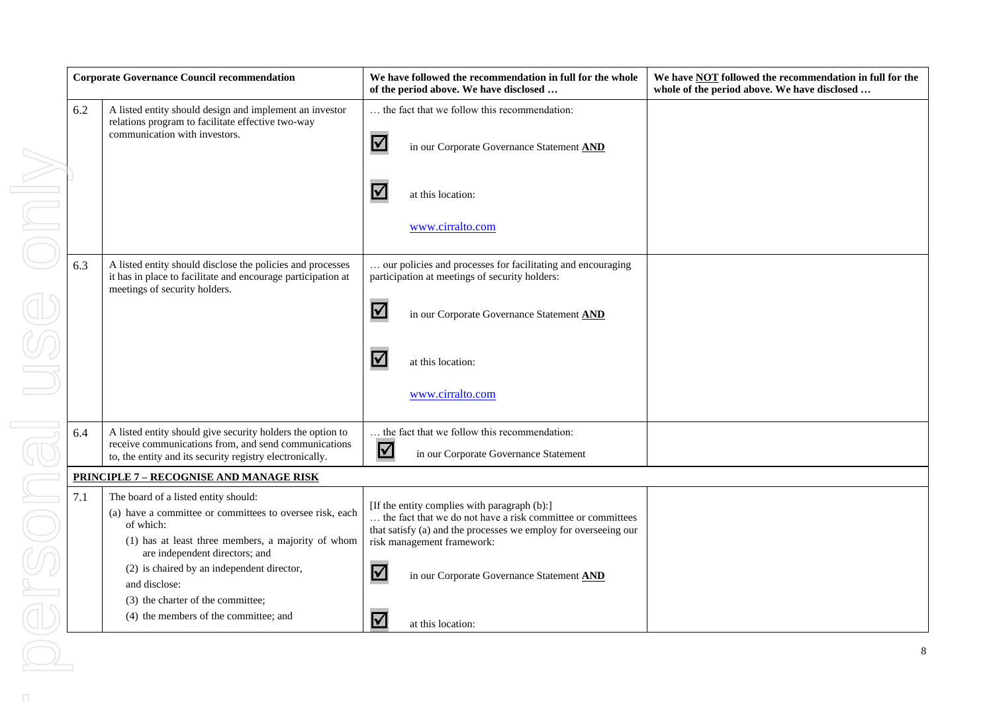|          | <b>Corporate Governance Council recommendation</b> |                                                                                                                                                                                                       | We have followed the recommendation in full for the whole<br>of the period above. We have disclosed                                                                                                          | We have <b>NOT</b> followed the recommendation in full for the<br>whole of the period above. We have disclosed |
|----------|----------------------------------------------------|-------------------------------------------------------------------------------------------------------------------------------------------------------------------------------------------------------|--------------------------------------------------------------------------------------------------------------------------------------------------------------------------------------------------------------|----------------------------------------------------------------------------------------------------------------|
|          | 6.2                                                | A listed entity should design and implement an investor<br>relations program to facilitate effective two-way<br>communication with investors.                                                         | the fact that we follow this recommendation:<br>☑<br>in our Corporate Governance Statement AND                                                                                                               |                                                                                                                |
| $\equiv$ |                                                    |                                                                                                                                                                                                       | M<br>at this location:<br>www.cirralto.com                                                                                                                                                                   |                                                                                                                |
|          | 6.3                                                | A listed entity should disclose the policies and processes<br>it has in place to facilitate and encourage participation at<br>meetings of security holders.                                           | our policies and processes for facilitating and encouraging<br>participation at meetings of security holders:<br>$\blacktriangleright$<br>in our Corporate Governance Statement AND                          |                                                                                                                |
|          |                                                    |                                                                                                                                                                                                       | <u>V</u><br>at this location:<br>www.cirralto.com                                                                                                                                                            |                                                                                                                |
|          | 6.4                                                | A listed entity should give security holders the option to<br>receive communications from, and send communications<br>to, the entity and its security registry electronically.                        | the fact that we follow this recommendation:<br>$\blacktriangledown$<br>in our Corporate Governance Statement                                                                                                |                                                                                                                |
|          |                                                    | <b>PRINCIPLE 7 - RECOGNISE AND MANAGE RISK</b>                                                                                                                                                        |                                                                                                                                                                                                              |                                                                                                                |
|          | 7.1                                                | The board of a listed entity should:<br>(a) have a committee or committees to oversee risk, each<br>of which:<br>(1) has at least three members, a majority of whom<br>are independent directors; and | [If the entity complies with paragraph (b):]<br>the fact that we do not have a risk committee or committees<br>that satisfy (a) and the processes we employ for overseeing our<br>risk management framework: |                                                                                                                |
|          |                                                    | (2) is chaired by an independent director,<br>and disclose:<br>(3) the charter of the committee;<br>(4) the members of the committee; and                                                             | $\blacktriangledown$<br>in our Corporate Governance Statement AND<br>V<br>at this location:                                                                                                                  |                                                                                                                |
|          |                                                    |                                                                                                                                                                                                       |                                                                                                                                                                                                              | 8                                                                                                              |
|          |                                                    |                                                                                                                                                                                                       |                                                                                                                                                                                                              |                                                                                                                |
|          |                                                    |                                                                                                                                                                                                       |                                                                                                                                                                                                              |                                                                                                                |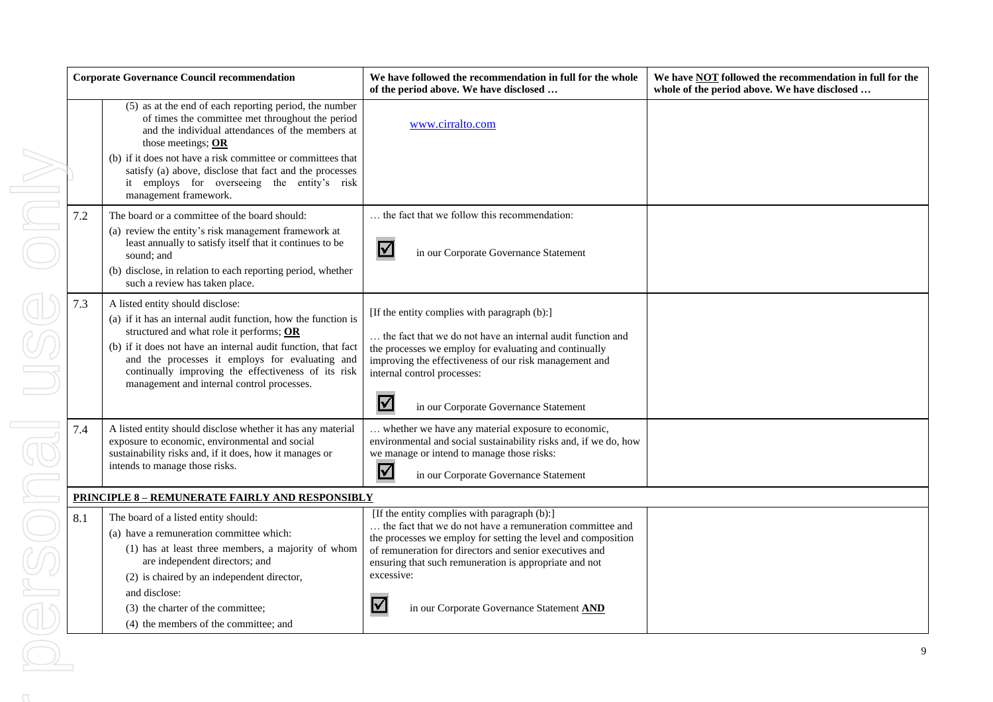| <b>Corporate Governance Council recommendation</b> |     |                                                                                                                                                                                                                                                                                                                                                                                        | We have followed the recommendation in full for the whole<br>of the period above. We have disclosed                                                                                                                                                                                                                                                                    | We have <b>NOT</b> followed the recommendation in full for the<br>whole of the period above. We have disclosed |
|----------------------------------------------------|-----|----------------------------------------------------------------------------------------------------------------------------------------------------------------------------------------------------------------------------------------------------------------------------------------------------------------------------------------------------------------------------------------|------------------------------------------------------------------------------------------------------------------------------------------------------------------------------------------------------------------------------------------------------------------------------------------------------------------------------------------------------------------------|----------------------------------------------------------------------------------------------------------------|
|                                                    |     | (5) as at the end of each reporting period, the number<br>of times the committee met throughout the period<br>and the individual attendances of the members at<br>those meetings; OR<br>(b) if it does not have a risk committee or committees that<br>satisfy (a) above, disclose that fact and the processes<br>it employs for overseeing the entity's risk<br>management framework. | www.cirralto.com                                                                                                                                                                                                                                                                                                                                                       |                                                                                                                |
|                                                    | 7.2 | The board or a committee of the board should:<br>(a) review the entity's risk management framework at<br>least annually to satisfy itself that it continues to be<br>sound; and<br>(b) disclose, in relation to each reporting period, whether<br>such a review has taken place.                                                                                                       | the fact that we follow this recommendation:<br>$\boldsymbol{\triangledown}$<br>in our Corporate Governance Statement                                                                                                                                                                                                                                                  |                                                                                                                |
|                                                    | 7.3 | A listed entity should disclose:<br>(a) if it has an internal audit function, how the function is<br>structured and what role it performs; OR<br>(b) if it does not have an internal audit function, that fact<br>and the processes it employs for evaluating and<br>continually improving the effectiveness of its risk<br>management and internal control processes.                 | [If the entity complies with paragraph (b):]<br>the fact that we do not have an internal audit function and<br>the processes we employ for evaluating and continually<br>improving the effectiveness of our risk management and<br>internal control processes:<br>$\blacktriangledown$<br>in our Corporate Governance Statement                                        |                                                                                                                |
|                                                    | 7.4 | A listed entity should disclose whether it has any material<br>exposure to economic, environmental and social<br>sustainability risks and, if it does, how it manages or<br>intends to manage those risks.                                                                                                                                                                             | whether we have any material exposure to economic,<br>environmental and social sustainability risks and, if we do, how<br>we manage or intend to manage those risks:<br>$\blacktriangledown$<br>in our Corporate Governance Statement                                                                                                                                  |                                                                                                                |
|                                                    |     | <b>PRINCIPLE 8 - REMUNERATE FAIRLY AND RESPONSIBLY</b>                                                                                                                                                                                                                                                                                                                                 |                                                                                                                                                                                                                                                                                                                                                                        |                                                                                                                |
|                                                    | 8.1 | The board of a listed entity should:<br>(a) have a remuneration committee which:<br>(1) has at least three members, a majority of whom<br>are independent directors; and<br>(2) is chaired by an independent director,<br>and disclose:<br>(3) the charter of the committee;<br>(4) the members of the committee; and                                                                  | [If the entity complies with paragraph (b):]<br>the fact that we do not have a remuneration committee and<br>the processes we employ for setting the level and composition<br>of remuneration for directors and senior executives and<br>ensuring that such remuneration is appropriate and not<br>excessive:<br>$\Delta$<br>in our Corporate Governance Statement AND |                                                                                                                |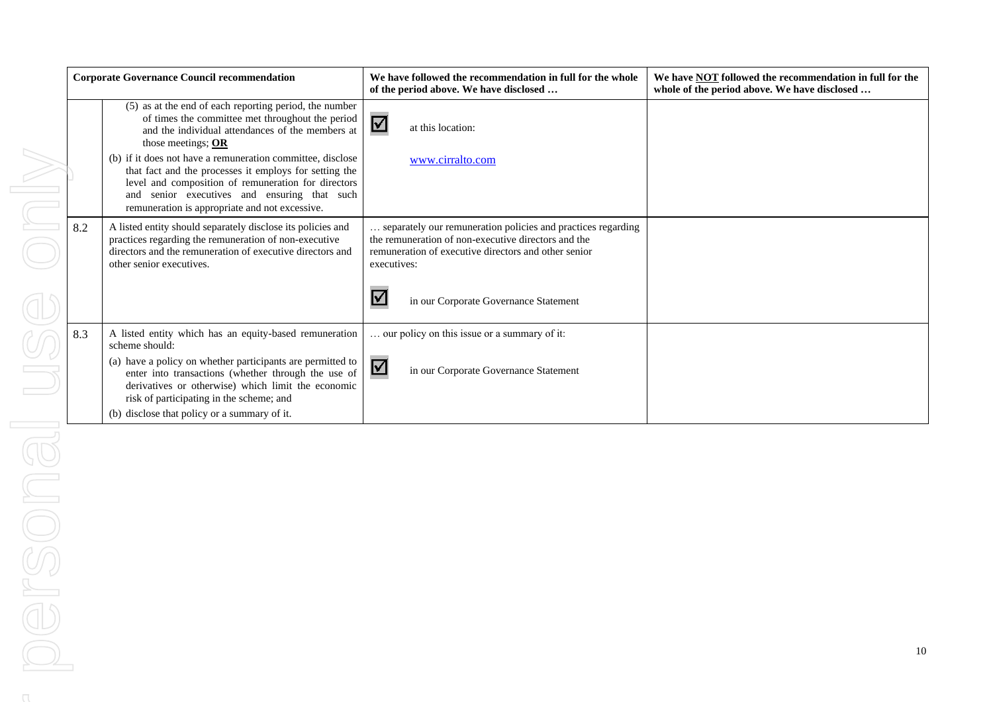| <b>Corporate Governance Council recommendation</b> |                                                                                                                                                                                                                                                                                  | We have followed the recommendation in full for the whole<br>of the period above. We have disclosed                                                                                                                | We have <b>NOT</b> followed the recommendation in full for the<br>whole of the period above. We have disclosed |
|----------------------------------------------------|----------------------------------------------------------------------------------------------------------------------------------------------------------------------------------------------------------------------------------------------------------------------------------|--------------------------------------------------------------------------------------------------------------------------------------------------------------------------------------------------------------------|----------------------------------------------------------------------------------------------------------------|
|                                                    | (5) as at the end of each reporting period, the number<br>of times the committee met throughout the period<br>and the individual attendances of the members at<br>those meetings; OR                                                                                             | $\blacktriangledown$<br>at this location:                                                                                                                                                                          |                                                                                                                |
|                                                    | (b) if it does not have a remuneration committee, disclose<br>that fact and the processes it employs for setting the<br>level and composition of remuneration for directors<br>senior executives and ensuring that such<br>and<br>remuneration is appropriate and not excessive. | www.cirralto.com                                                                                                                                                                                                   |                                                                                                                |
| 8.2                                                | A listed entity should separately disclose its policies and<br>practices regarding the remuneration of non-executive<br>directors and the remuneration of executive directors and<br>other senior executives.                                                                    | separately our remuneration policies and practices regarding<br>the remuneration of non-executive directors and the<br>remuneration of executive directors and other senior<br>executives:<br>$\blacktriangledown$ |                                                                                                                |
|                                                    |                                                                                                                                                                                                                                                                                  | in our Corporate Governance Statement                                                                                                                                                                              |                                                                                                                |
| 8.3                                                | A listed entity which has an equity-based remuneration<br>scheme should:                                                                                                                                                                                                         | our policy on this issue or a summary of it:                                                                                                                                                                       |                                                                                                                |
|                                                    | (a) have a policy on whether participants are permitted to<br>enter into transactions (whether through the use of<br>derivatives or otherwise) which limit the economic<br>risk of participating in the scheme; and                                                              | ☑<br>in our Corporate Governance Statement                                                                                                                                                                         |                                                                                                                |
|                                                    | (b) disclose that policy or a summary of it.                                                                                                                                                                                                                                     |                                                                                                                                                                                                                    |                                                                                                                |

 $\bigcap$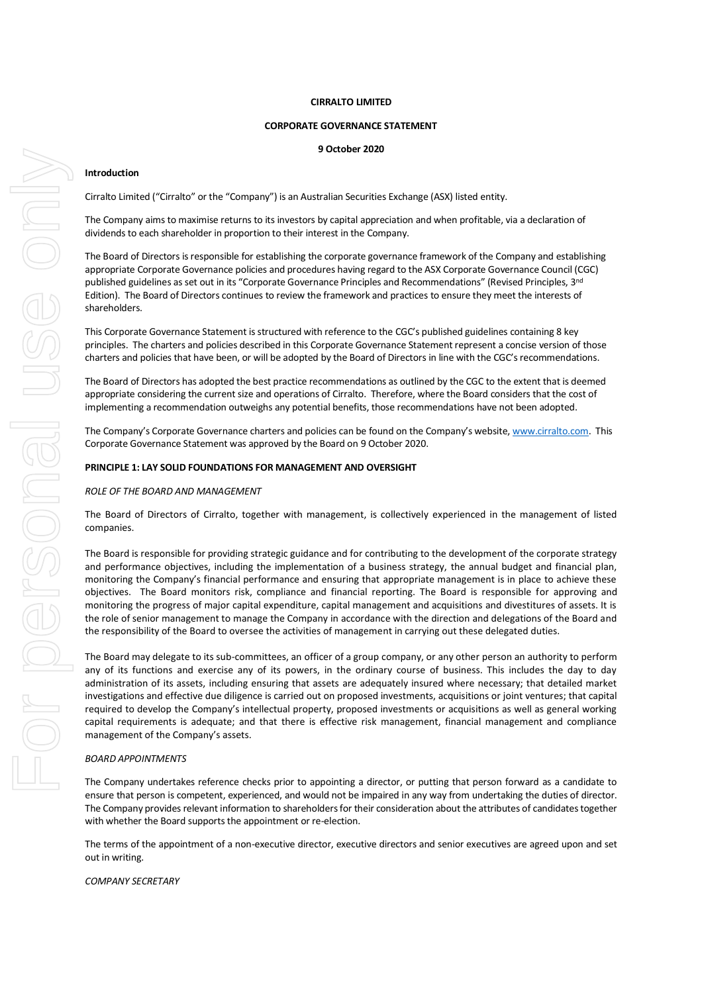#### **CIRRALTO LIMITED**

#### **CORPORATE GOVERNANCE STATEMENT**

#### **9 October 2020**

#### **Introduction**

Cirralto Limited ("Cirralto" or the "Company") is an Australian Securities Exchange (ASX) listed entity.

The Company aims to maximise returns to its investors by capital appreciation and when profitable, via a declaration of dividends to each shareholder in proportion to their interest in the Company.

The Board of Directors is responsible for establishing the corporate governance framework of the Company and establishing appropriate Corporate Governance policies and procedures having regard to the ASX Corporate Governance Council (CGC) published guidelines as set out in its "Corporate Governance Principles and Recommendations" (Revised Principles, 3<sup>nd</sup> Edition). The Board of Directors continues to review the framework and practices to ensure they meet the interests of shareholders.

This Corporate Governance Statement is structured with reference to the CGC's published guidelines containing 8 key principles. The charters and policies described in this Corporate Governance Statement represent a concise version of those charters and policies that have been, or will be adopted by the Board of Directors in line with the CGC's recommendations.

The Board of Directors has adopted the best practice recommendations as outlined by the CGC to the extent that is deemed appropriate considering the current size and operations of Cirralto. Therefore, where the Board considers that the cost of implementing a recommendation outweighs any potential benefits, those recommendations have not been adopted.

The Company's Corporate Governance charters and policies can be found on the Company's website, [www.cirralto.com.](http://www.cirralto.com/) This Corporate Governance Statement was approved by the Board on 9 October 2020.

#### **PRINCIPLE 1: LAY SOLID FOUNDATIONS FOR MANAGEMENT AND OVERSIGHT**

#### *ROLE OF THE BOARD AND MANAGEMENT*

The Board of Directors of Cirralto, together with management, is collectively experienced in the management of listed companies.

The Board is responsible for providing strategic guidance and for contributing to the development of the corporate strategy and performance objectives, including the implementation of a business strategy, the annual budget and financial plan, monitoring the Company's financial performance and ensuring that appropriate management is in place to achieve these objectives. The Board monitors risk, compliance and financial reporting. The Board is responsible for approving and monitoring the progress of major capital expenditure, capital management and acquisitions and divestitures of assets. It is the role of senior management to manage the Company in accordance with the direction and delegations of the Board and the responsibility of the Board to oversee the activities of management in carrying out these delegated duties.

The Board may delegate to its sub-committees, an officer of a group company, or any other person an authority to perform any of its functions and exercise any of its powers, in the ordinary course of business. This includes the day to day administration of its assets, including ensuring that assets are adequately insured where necessary; that detailed market investigations and effective due diligence is carried out on proposed investments, acquisitions or joint ventures; that capital required to develop the Company's intellectual property, proposed investments or acquisitions as well as general working capital requirements is adequate; and that there is effective risk management, financial management and compliance management of the Company's assets.

#### *BOARD APPOINTMENTS*

The Company undertakes reference checks prior to appointing a director, or putting that person forward as a candidate to ensure that person is competent, experienced, and would not be impaired in any way from undertaking the duties of director. The Company provides relevant information to shareholders for their consideration about the attributes of candidates together with whether the Board supports the appointment or re-election.

The terms of the appointment of a non-executive director, executive directors and senior executives are agreed upon and set out in writing.

*COMPANY SECRETARY*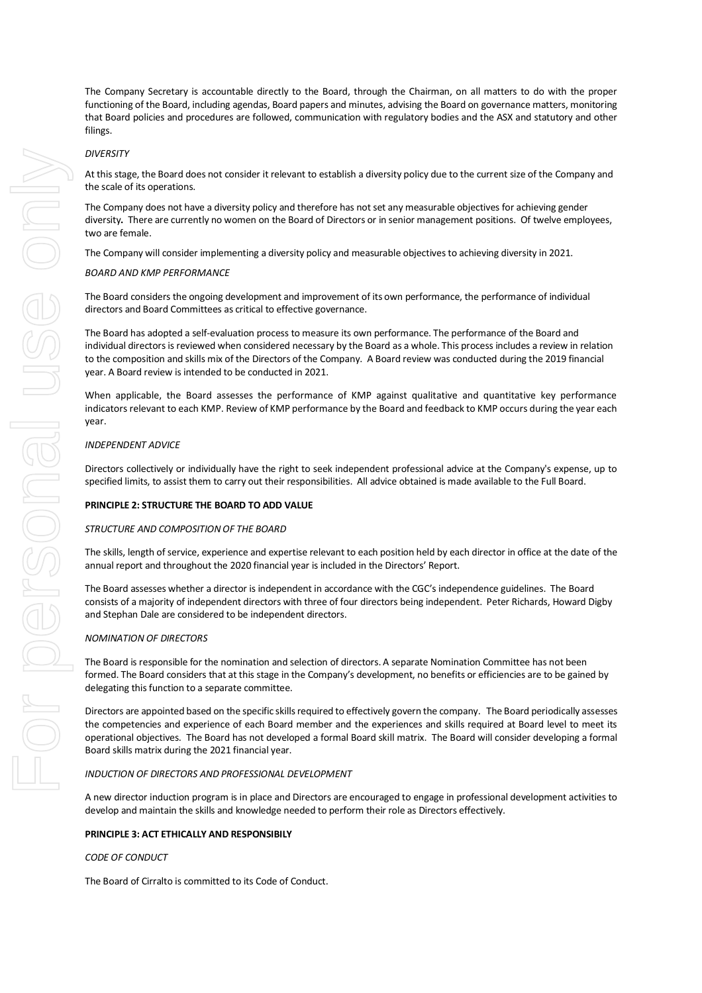At this stage, the Board does not consider it relevant to establish a diversity policy due to the current size of the Company and the scale of its operations.

The Company does not have a diversity policy and therefore has not set any measurable objectives for achieving gender diversity**.** There are currently no women on the Board of Directors or in senior management positions. Of twelve employees, two are female.

The Company will consider implementing a diversity policy and measurable objectives to achieving diversity in 2021.

# *BOARD AND KMP PERFORMANCE*

The Board considers the ongoing development and improvement of its own performance, the performance of individual directors and Board Committees as critical to effective governance.

The Board has adopted a self-evaluation process to measure its own performance. The performance of the Board and individual directors is reviewed when considered necessary by the Board as a whole. This process includes a review in relation to the composition and skills mix of the Directors of the Company. A Board review was conducted during the 2019 financial year. A Board review is intended to be conducted in 2021.

When applicable, the Board assesses the performance of KMP against qualitative and quantitative key performance indicators relevant to each KMP. Review of KMP performance by the Board and feedback to KMP occurs during the year each year.

# *INDEPENDENT ADVICE*

Directors collectively or individually have the right to seek independent professional advice at the Company's expense, up to specified limits, to assist them to carry out their responsibilities. All advice obtained is made available to the Full Board.

#### **PRINCIPLE 2: STRUCTURE THE BOARD TO ADD VALUE**

#### *STRUCTURE AND COMPOSITION OF THE BOARD*

The skills, length of service, experience and expertise relevant to each position held by each director in office at the date of the annual report and throughout the 2020 financial year is included in the Directors' Report.

The Board assesses whether a director is independent in accordance with the CGC's independence guidelines. The Board consists of a majority of independent directors with three of four directors being independent. Peter Richards, Howard Digby and Stephan Dale are considered to be independent directors.

# *NOMINATION OF DIRECTORS*

The Board is responsible for the nomination and selection of directors. A separate Nomination Committee has not been formed. The Board considers that at this stage in the Company's development, no benefits or efficiencies are to be gained by delegating this function to a separate committee.

Directors are appointed based on the specific skills required to effectively govern the company. The Board periodically assesses the competencies and experience of each Board member and the experiences and skills required at Board level to meet its operational objectives. The Board has not developed a formal Board skill matrix. The Board will consider developing a formal Board skills matrix during the 2021 financial year.

#### *INDUCTION OF DIRECTORS AND PROFESSIONAL DEVELOPMENT*

A new director induction program is in place and Directors are encouraged to engage in professional development activities to develop and maintain the skills and knowledge needed to perform their role as Directors effectively.

# **PRINCIPLE 3: ACT ETHICALLY AND RESPONSIBILY**

#### *CODE OF CONDUCT*

The Board of Cirralto is committed to its Code of Conduct.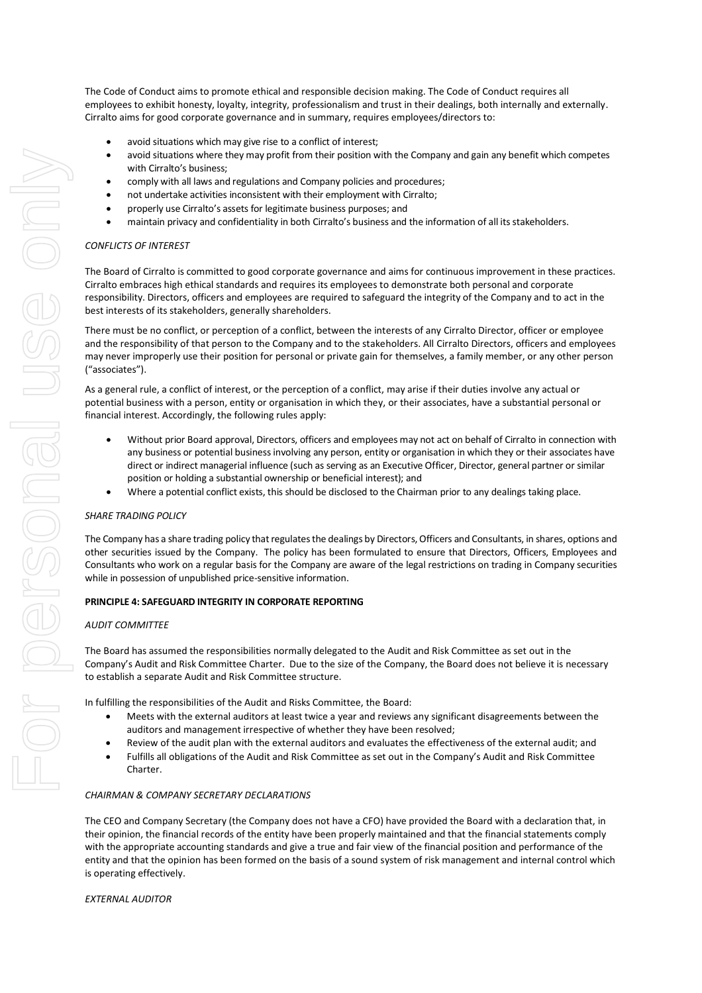The Code of Conduct aims to promote ethical and responsible decision making. The Code of Conduct requires all employees to exhibit honesty, loyalty, integrity, professionalism and trust in their dealings, both internally and externally. Cirralto aims for good corporate governance and in summary, requires employees/directors to:

- avoid situations which may give rise to a conflict of interest;
- avoid situations where they may profit from their position with the Company and gain any benefit which competes with Cirralto's business;
- comply with all laws and regulations and Company policies and procedures;
- not undertake activities inconsistent with their employment with Cirralto;
- properly use Cirralto's assets for legitimate business purposes; and
- maintain privacy and confidentiality in both Cirralto's business and the information of all its stakeholders.

# *CONFLICTS OF INTEREST*

The Board of Cirralto is committed to good corporate governance and aims for continuous improvement in these practices. Cirralto embraces high ethical standards and requires its employees to demonstrate both personal and corporate responsibility. Directors, officers and employees are required to safeguard the integrity of the Company and to act in the best interests of its stakeholders, generally shareholders.

There must be no conflict, or perception of a conflict, between the interests of any Cirralto Director, officer or employee and the responsibility of that person to the Company and to the stakeholders. All Cirralto Directors, officers and employees may never improperly use their position for personal or private gain for themselves, a family member, or any other person ("associates").

As a general rule, a conflict of interest, or the perception of a conflict, may arise if their duties involve any actual or potential business with a person, entity or organisation in which they, or their associates, have a substantial personal or financial interest. Accordingly, the following rules apply:

- Without prior Board approval, Directors, officers and employees may not act on behalf of Cirralto in connection with any business or potential business involving any person, entity or organisation in which they or their associates have direct or indirect managerial influence (such as serving as an Executive Officer, Director, general partner or similar position or holding a substantial ownership or beneficial interest); and
- Where a potential conflict exists, this should be disclosed to the Chairman prior to any dealings taking place.

#### *SHARE TRADING POLICY*

The Company has a share trading policy that regulates the dealings by Directors, Officers and Consultants, in shares, options and other securities issued by the Company. The policy has been formulated to ensure that Directors, Officers, Employees and Consultants who work on a regular basis for the Company are aware of the legal restrictions on trading in Company securities while in possession of unpublished price-sensitive information.

#### **PRINCIPLE 4: SAFEGUARD INTEGRITY IN CORPORATE REPORTING**

#### *AUDIT COMMITTEE*

The Board has assumed the responsibilities normally delegated to the Audit and Risk Committee as set out in the Company's Audit and Risk Committee Charter. Due to the size of the Company, the Board does not believe it is necessary to establish a separate Audit and Risk Committee structure.

In fulfilling the responsibilities of the Audit and Risks Committee, the Board:

- Meets with the external auditors at least twice a year and reviews any significant disagreements between the auditors and management irrespective of whether they have been resolved;
- Review of the audit plan with the external auditors and evaluates the effectiveness of the external audit; and
- Fulfills all obligations of the Audit and Risk Committee as set out in the Company's Audit and Risk Committee Charter.

#### *CHAIRMAN & COMPANY SECRETARY DECLARATIONS*

The CEO and Company Secretary (the Company does not have a CFO) have provided the Board with a declaration that, in their opinion, the financial records of the entity have been properly maintained and that the financial statements comply with the appropriate accounting standards and give a true and fair view of the financial position and performance of the entity and that the opinion has been formed on the basis of a sound system of risk management and internal control which is operating effectively.

#### *EXTERNAL AUDITOR*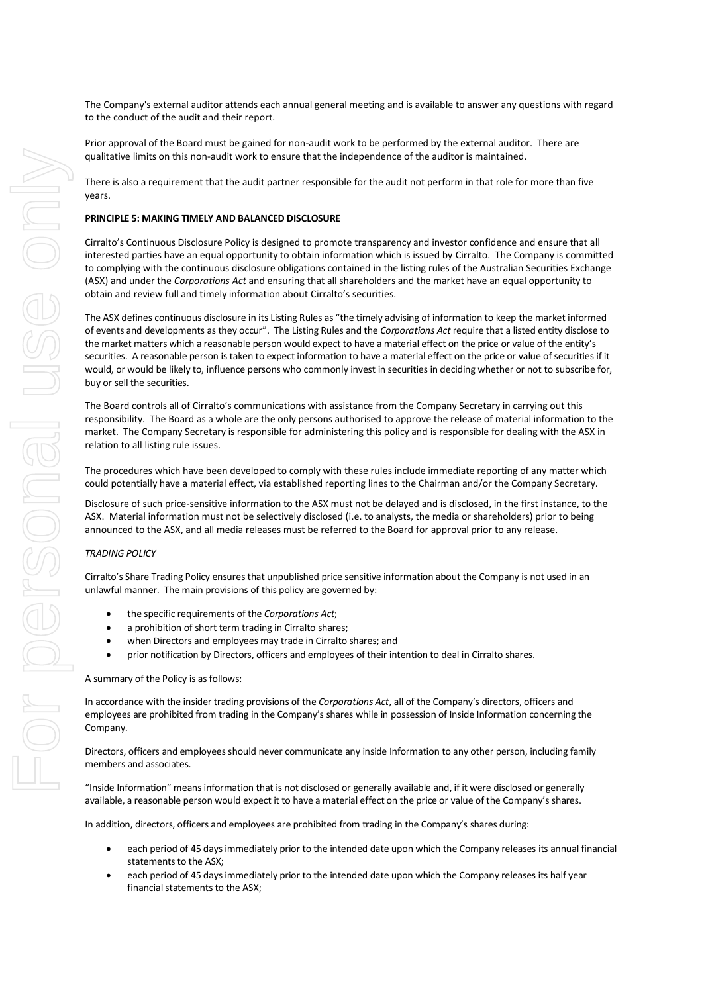The Company's external auditor attends each annual general meeting and is available to answer any questions with regard to the conduct of the audit and their report.

Prior approval of the Board must be gained for non-audit work to be performed by the external auditor. There are qualitative limits on this non-audit work to ensure that the independence of the auditor is maintained.

There is also a requirement that the audit partner responsible for the audit not perform in that role for more than five years.

# **PRINCIPLE 5: MAKING TIMELY AND BALANCED DISCLOSURE**

Cirralto's Continuous Disclosure Policy is designed to promote transparency and investor confidence and ensure that all interested parties have an equal opportunity to obtain information which is issued by Cirralto. The Company is committed to complying with the continuous disclosure obligations contained in the listing rules of the Australian Securities Exchange (ASX) and under the *Corporations Act* and ensuring that all shareholders and the market have an equal opportunity to obtain and review full and timely information about Cirralto's securities.

The ASX defines continuous disclosure in its Listing Rules as "the timely advising of information to keep the market informed of events and developments as they occur". The Listing Rules and the *Corporations Act* require that a listed entity disclose to the market matters which a reasonable person would expect to have a material effect on the price or value of the entity's securities. A reasonable person is taken to expect information to have a material effect on the price or value of securities if it would, or would be likely to, influence persons who commonly invest in securities in deciding whether or not to subscribe for, buy or sell the securities.

The Board controls all of Cirralto's communications with assistance from the Company Secretary in carrying out this responsibility. The Board as a whole are the only persons authorised to approve the release of material information to the market. The Company Secretary is responsible for administering this policy and is responsible for dealing with the ASX in relation to all listing rule issues.

The procedures which have been developed to comply with these rules include immediate reporting of any matter which could potentially have a material effect, via established reporting lines to the Chairman and/or the Company Secretary.

Disclosure of such price-sensitive information to the ASX must not be delayed and is disclosed, in the first instance, to the ASX. Material information must not be selectively disclosed (i.e. to analysts, the media or shareholders) prior to being announced to the ASX, and all media releases must be referred to the Board for approval prior to any release.

#### *TRADING POLICY*

Cirralto's Share Trading Policy ensures that unpublished price sensitive information about the Company is not used in an unlawful manner. The main provisions of this policy are governed by:

- the specific requirements of the *Corporations Act*;
- a prohibition of short term trading in Cirralto shares;
- when Directors and employees may trade in Cirralto shares; and
- prior notification by Directors, officers and employees of their intention to deal in Cirralto shares.

#### A summary of the Policy is as follows:

In accordance with the insider trading provisions of the *Corporations Act*, all of the Company's directors, officers and employees are prohibited from trading in the Company's shares while in possession of Inside Information concerning the Company.

Directors, officers and employees should never communicate any inside Information to any other person, including family members and associates.

"Inside Information" means information that is not disclosed or generally available and, if it were disclosed or generally available, a reasonable person would expect it to have a material effect on the price or value of the Company's shares.

In addition, directors, officers and employees are prohibited from trading in the Company's shares during:

- each period of 45 days immediately prior to the intended date upon which the Company releases its annual financial statements to the ASX;
- each period of 45 days immediately prior to the intended date upon which the Company releases its half year financial statements to the ASX;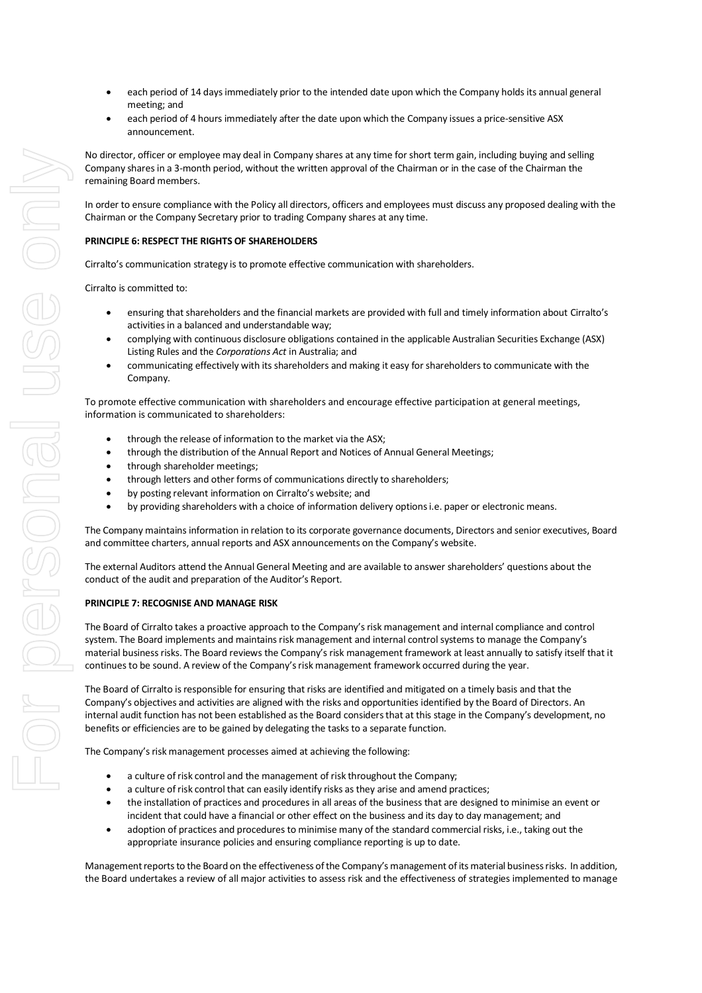- each period of 14 days immediately prior to the intended date upon which the Company holds its annual general meeting; and
- each period of 4 hours immediately after the date upon which the Company issues a price-sensitive ASX announcement.

No director, officer or employee may deal in Company shares at any time for short term gain, including buying and selling Company shares in a 3-month period, without the written approval of the Chairman or in the case of the Chairman the remaining Board members.

In order to ensure compliance with the Policy all directors, officers and employees must discuss any proposed dealing with the Chairman or the Company Secretary prior to trading Company shares at any time.

# **PRINCIPLE 6: RESPECT THE RIGHTS OF SHAREHOLDERS**

Cirralto's communication strategy is to promote effective communication with shareholders.

Cirralto is committed to:

- ensuring that shareholders and the financial markets are provided with full and timely information about Cirralto's activities in a balanced and understandable way;
- complying with continuous disclosure obligations contained in the applicable Australian Securities Exchange (ASX) Listing Rules and the *Corporations Act* in Australia; and
- communicating effectively with its shareholders and making it easy for shareholders to communicate with the Company.

To promote effective communication with shareholders and encourage effective participation at general meetings, information is communicated to shareholders:

- through the release of information to the market via the ASX;
- through the distribution of the Annual Report and Notices of Annual General Meetings;
- through shareholder meetings;
- through letters and other forms of communications directly to shareholders;
- by posting relevant information on Cirralto's website; and
- by providing shareholders with a choice of information delivery options i.e. paper or electronic means.

The Company maintains information in relation to its corporate governance documents, Directors and senior executives, Board and committee charters, annual reports and ASX announcements on the Company's website.

The external Auditors attend the Annual General Meeting and are available to answer shareholders' questions about the conduct of the audit and preparation of the Auditor's Report.

#### **PRINCIPLE 7: RECOGNISE AND MANAGE RISK**

The Board of Cirralto takes a proactive approach to the Company's risk management and internal compliance and control system. The Board implements and maintains risk management and internal control systems to manage the Company's material business risks. The Board reviews the Company's risk management framework at least annually to satisfy itself that it continues to be sound. A review of the Company's risk management framework occurred during the year.

The Board of Cirralto is responsible for ensuring that risks are identified and mitigated on a timely basis and that the Company's objectives and activities are aligned with the risks and opportunities identified by the Board of Directors. An internal audit function has not been established as the Board considers that at this stage in the Company's development, no benefits or efficiencies are to be gained by delegating the tasks to a separate function.

The Company's risk management processes aimed at achieving the following:

- a culture of risk control and the management of risk throughout the Company;
- a culture of risk control that can easily identify risks as they arise and amend practices;
- the installation of practices and procedures in all areas of the business that are designed to minimise an event or incident that could have a financial or other effect on the business and its day to day management; and
- adoption of practices and procedures to minimise many of the standard commercial risks, i.e., taking out the appropriate insurance policies and ensuring compliance reporting is up to date.

Management reports to the Board on the effectiveness of the Company's management of its material business risks. In addition, the Board undertakes a review of all major activities to assess risk and the effectiveness of strategies implemented to manage